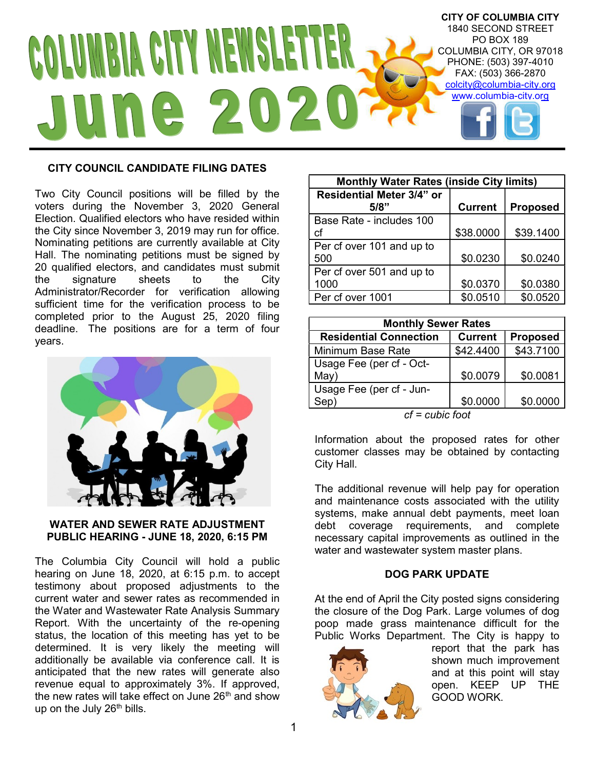

# CITY COUNCIL CANDIDATE FILING DATES

Two City Council positions will be filled by the voters during the November 3, 2020 General Election. Qualified electors who have resided within the City since November 3, 2019 may run for office. Nominating petitions are currently available at City Hall. The nominating petitions must be signed by 20 qualified electors, and candidates must submit the signature sheets to the City Administrator/Recorder for verification allowing sufficient time for the verification process to be completed prior to the August 25, 2020 filing deadline. The positions are for a term of four years.



## WATER AND SEWER RATE ADJUSTMENT PUBLIC HEARING - JUNE 18, 2020, 6:15 PM

The Columbia City Council will hold a public hearing on June 18, 2020, at 6:15 p.m. to accept testimony about proposed adjustments to the current water and sewer rates as recommended in the Water and Wastewater Rate Analysis Summary Report. With the uncertainty of the re-opening status, the location of this meeting has yet to be determined. It is very likely the meeting will additionally be available via conference call. It is anticipated that the new rates will generate also revenue equal to approximately 3%. If approved, the new rates will take effect on June 26<sup>th</sup> and show up on the July  $26<sup>th</sup>$  bills.

| <b>Monthly Water Rates (inside City limits)</b> |                |                 |  |
|-------------------------------------------------|----------------|-----------------|--|
| Residential Meter 3/4" or                       |                |                 |  |
| 5/8"                                            | <b>Current</b> | <b>Proposed</b> |  |
| Base Rate - includes 100                        |                |                 |  |
| сf                                              | \$38.0000      | \$39.1400       |  |
| Per cf over 101 and up to                       |                |                 |  |
| 500                                             | \$0.0230       | \$0.0240        |  |
| Per cf over 501 and up to                       |                |                 |  |
| 1000                                            | \$0.0370       | \$0.0380        |  |
| Per cf over 1001                                | \$0.0510       | \$0.0520        |  |

| <b>Monthly Sewer Rates</b>                     |                |                 |  |
|------------------------------------------------|----------------|-----------------|--|
| <b>Residential Connection</b>                  | <b>Current</b> | <b>Proposed</b> |  |
| Minimum Base Rate                              | \$42.4400      | \$43.7100       |  |
| Usage Fee (per cf - Oct-                       |                |                 |  |
| May)                                           | \$0.0079       | \$0.0081        |  |
| Usage Fee (per cf - Jun-                       |                |                 |  |
| Sep)                                           | \$0.0000       | \$0.0000        |  |
| $\mathbf{f}$ and $\mathbf{f}$ and $\mathbf{f}$ |                |                 |  |

cf = cubic foot

Information about the proposed rates for other customer classes may be obtained by contacting City Hall.

The additional revenue will help pay for operation and maintenance costs associated with the utility systems, make annual debt payments, meet loan debt coverage requirements, and complete necessary capital improvements as outlined in the water and wastewater system master plans.

# DOG PARK UPDATE

At the end of April the City posted signs considering the closure of the Dog Park. Large volumes of dog poop made grass maintenance difficult for the Public Works Department. The City is happy to



report that the park has shown much improvement and at this point will stay open. KEEP UP THE GOOD WORK.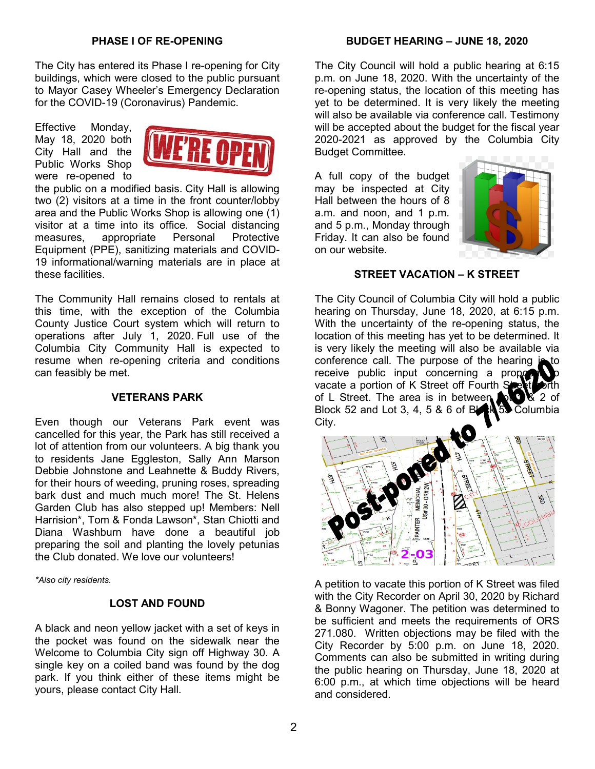## PHASE I OF RE-OPENING

The City has entered its Phase I re-opening for City buildings, which were closed to the public pursuant to Mayor Casey Wheeler's Emergency Declaration for the COVID-19 (Coronavirus) Pandemic.

Effective Monday, May 18, 2020 both City Hall and the Public Works Shop were re-opened to



the public on a modified basis. City Hall is allowing two (2) visitors at a time in the front counter/lobby area and the Public Works Shop is allowing one (1) visitor at a time into its office. Social distancing measures, appropriate Personal Protective Equipment (PPE), sanitizing materials and COVID-19 informational/warning materials are in place at these facilities.

The Community Hall remains closed to rentals at this time, with the exception of the Columbia County Justice Court system which will return to operations after July 1, 2020. Full use of the Columbia City Community Hall is expected to resume when re-opening criteria and conditions can feasibly be met.

#### VETERANS PARK

Even though our Veterans Park event was cancelled for this year, the Park has still received a lot of attention from our volunteers. A big thank you to residents Jane Eggleston, Sally Ann Marson Debbie Johnstone and Leahnette & Buddy Rivers, for their hours of weeding, pruning roses, spreading bark dust and much much more! The St. Helens Garden Club has also stepped up! Members: Nell Harrision\*, Tom & Fonda Lawson\*, Stan Chiotti and Diana Washburn have done a beautiful job preparing the soil and planting the lovely petunias the Club donated. We love our volunteers!

\*Also city residents.

#### LOST AND FOUND

A black and neon yellow jacket with a set of keys in the pocket was found on the sidewalk near the Welcome to Columbia City sign off Highway 30. A single key on a coiled band was found by the dog park. If you think either of these items might be yours, please contact City Hall.

#### BUDGET HEARING – JUNE 18, 2020

The City Council will hold a public hearing at 6:15 p.m. on June 18, 2020. With the uncertainty of the re-opening status, the location of this meeting has yet to be determined. It is very likely the meeting will also be available via conference call. Testimony will be accepted about the budget for the fiscal year 2020-2021 as approved by the Columbia City Budget Committee.

A full copy of the budget may be inspected at City Hall between the hours of 8 a.m. and noon, and 1 p.m. and 5 p.m., Monday through Friday. It can also be found on our website.



### STREET VACATION – K STREET

The City Council of Columbia City will hold a public hearing on Thursday, June 18, 2020, at 6:15 p.m. With the uncertainty of the re-opening status, the location of this meeting has yet to be determined. It is very likely the meeting will also be available via conference call. The purpose of the hearing is receive public input concerning a propose vacate a portion of K Street off Fourth Street of of L Street. The area is in between  $\mathbb{R}$   $\mathbb{R}$  2 of Block 52 and Lot 3, 4, 5 & 6 of BLAN 53 Columbia City.



A petition to vacate this portion of K Street was filed with the City Recorder on April 30, 2020 by Richard & Bonny Wagoner. The petition was determined to be sufficient and meets the requirements of ORS 271.080. Written objections may be filed with the City Recorder by 5:00 p.m. on June 18, 2020. Comments can also be submitted in writing during the public hearing on Thursday, June 18, 2020 at 6:00 p.m., at which time objections will be heard and considered.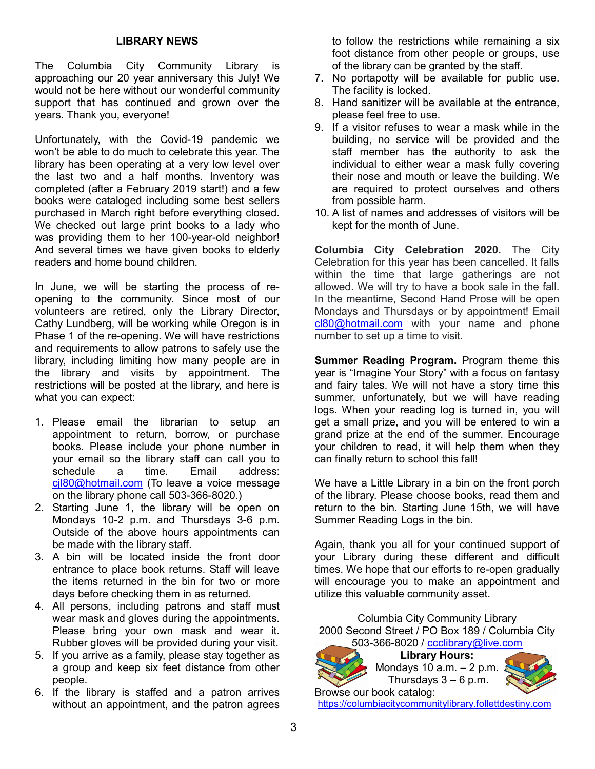# LIBRARY NEWS

The Columbia City Community Library is approaching our 20 year anniversary this July! We would not be here without our wonderful community support that has continued and grown over the years. Thank you, everyone!

Unfortunately, with the Covid-19 pandemic we won't be able to do much to celebrate this year. The library has been operating at a very low level over the last two and a half months. Inventory was completed (after a February 2019 start!) and a few books were cataloged including some best sellers purchased in March right before everything closed. We checked out large print books to a lady who was providing them to her 100-year-old neighbor! And several times we have given books to elderly readers and home bound children.

In June, we will be starting the process of reopening to the community. Since most of our volunteers are retired, only the Library Director, Cathy Lundberg, will be working while Oregon is in Phase 1 of the re-opening. We will have restrictions and requirements to allow patrons to safely use the library, including limiting how many people are in the library and visits by appointment. The restrictions will be posted at the library, and here is what you can expect:

- 1. Please email the librarian to setup an appointment to return, borrow, or purchase books. Please include your phone number in your email so the library staff can call you to schedule a time. Email address: cjl80@hotmail.com (To leave a voice message on the library phone call 503-366-8020.)
- 2. Starting June 1, the library will be open on Mondays 10-2 p.m. and Thursdays 3-6 p.m. Outside of the above hours appointments can be made with the library staff.
- 3. A bin will be located inside the front door entrance to place book returns. Staff will leave the items returned in the bin for two or more days before checking them in as returned.
- 4. All persons, including patrons and staff must wear mask and gloves during the appointments. Please bring your own mask and wear it. Rubber gloves will be provided during your visit.
- 5. If you arrive as a family, please stay together as a group and keep six feet distance from other people.
- 6. If the library is staffed and a patron arrives without an appointment, and the patron agrees

to follow the restrictions while remaining a six foot distance from other people or groups, use of the library can be granted by the staff.

- 7. No portapotty will be available for public use. The facility is locked.
- 8. Hand sanitizer will be available at the entrance, please feel free to use.
- 9. If a visitor refuses to wear a mask while in the building, no service will be provided and the staff member has the authority to ask the individual to either wear a mask fully covering their nose and mouth or leave the building. We are required to protect ourselves and others from possible harm.
- 10. A list of names and addresses of visitors will be kept for the month of June.

Columbia City Celebration 2020. The City Celebration for this year has been cancelled. It falls within the time that large gatherings are not allowed. We will try to have a book sale in the fall. In the meantime, Second Hand Prose will be open Mondays and Thursdays or by appointment! Email cl80@hotmail.com with your name and phone number to set up a time to visit.

Summer Reading Program. Program theme this year is "Imagine Your Story" with a focus on fantasy and fairy tales. We will not have a story time this summer, unfortunately, but we will have reading logs. When your reading log is turned in, you will get a small prize, and you will be entered to win a grand prize at the end of the summer. Encourage your children to read, it will help them when they can finally return to school this fall!

We have a Little Library in a bin on the front porch of the library. Please choose books, read them and return to the bin. Starting June 15th, we will have Summer Reading Logs in the bin.

Again, thank you all for your continued support of your Library during these different and difficult times. We hope that our efforts to re-open gradually will encourage you to make an appointment and utilize this valuable community asset.

Columbia City Community Library 2000 Second Street / PO Box 189 / Columbia City 503-366-8020 / ccclibrary@live.com



Library Hours: Mondays 10  $a.m. - 2 p.m.$ Thursdays  $3 - 6$  p.m.